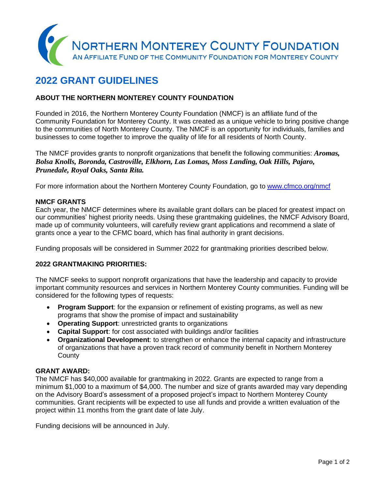

# **2022 GRANT GUIDELINES**

#### **ABOUT THE NORTHERN MONTEREY COUNTY FOUNDATION**

Founded in 2016, the Northern Monterey County Foundation (NMCF) is an affiliate fund of the Community Foundation for Monterey County. It was created as a unique vehicle to bring positive change to the communities of North Monterey County. The NMCF is an opportunity for individuals, families and businesses to come together to improve the quality of life for all residents of North County.

The NMCF provides grants to nonprofit organizations that benefit the following communities: *Aromas, Bolsa Knolls, Boronda, Castroville, Elkhorn, Las Lomas, Moss Landing, Oak Hills, Pajaro, Prunedale, Royal Oaks, Santa Rita.*

For more information about the Northern Monterey County Foundation, go to [www.cfmco.org/nmcf](http://www.cfmco.org/nmcf)

#### **NMCF GRANTS**

Each year, the NMCF determines where its available grant dollars can be placed for greatest impact on our communities' highest priority needs. Using these grantmaking guidelines, the NMCF Advisory Board, made up of community volunteers, will carefully review grant applications and recommend a slate of grants once a year to the CFMC board, which has final authority in grant decisions.

Funding proposals will be considered in Summer 2022 for grantmaking priorities described below.

#### **2022 GRANTMAKING PRIORITIES:**

The NMCF seeks to support nonprofit organizations that have the leadership and capacity to provide important community resources and services in Northern Monterey County communities. Funding will be considered for the following types of requests:

- **Program Support**: for the expansion or refinement of existing programs, as well as new programs that show the promise of impact and sustainability
- **Operating Support**: unrestricted grants to organizations
- **Capital Support**: for cost associated with buildings and/or facilities
- **Organizational Development**: to strengthen or enhance the internal capacity and infrastructure of organizations that have a proven track record of community benefit in Northern Monterey **County**

#### **GRANT AWARD:**

The NMCF has \$40,000 available for grantmaking in 2022. Grants are expected to range from a minimum \$1,000 to a maximum of \$4,000. The number and size of grants awarded may vary depending on the Advisory Board's assessment of a proposed project's impact to Northern Monterey County communities. Grant recipients will be expected to use all funds and provide a written evaluation of the project within 11 months from the grant date of late July.

Funding decisions will be announced in July.